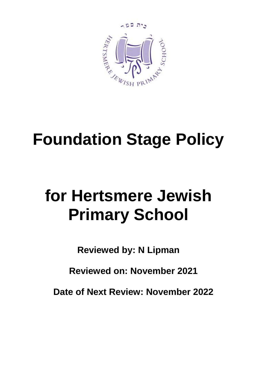

## **Foundation Stage Policy**

# **for Hertsmere Jewish Primary School**

**Reviewed by: N Lipman**

**Reviewed on: November 2021**

**Date of Next Review: November 2022**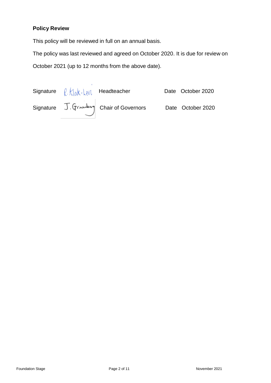## **Policy Review**

This policy will be reviewed in full on an annual basis.

The policy was last reviewed and agreed on October 2020. It is due for review on

October 2021 (up to 12 months from the above date).

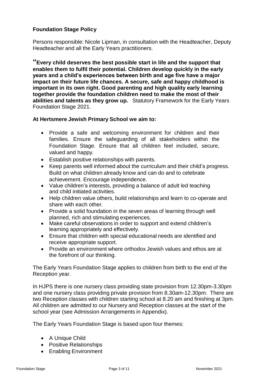## **Foundation Stage Policy**

Persons responsible: Nicole Lipman, in consultation with the Headteacher, Deputy Headteacher and all the Early Years practitioners.

**"Every child deserves the best possible start in life and the support that enables them to fulfil their potential. Children develop quickly in the early years and a child's experiences between birth and age five have a major impact on their future life chances. A secure, safe and happy childhood is important in its own right. Good parenting and high quality early learning together provide the foundation children need to make the most of their abilities and talents as they grow up.** Statutory Framework for the Early Years Foundation Stage 2021.

#### **At Hertsmere Jewish Primary School we aim to:**

- Provide a safe and welcoming environment for children and their families. Ensure the safeguarding of all stakeholders within the Foundation Stage. Ensure that all children feel included, secure, valued and happy.
- Establish positive relationships with parents.
- Keep parents well informed about the curriculum and their child's progress. Build on what children already know and can do and to celebrate achievement. Encourage independence.
- Value children's interests, providing a balance of adult led teaching and child initiated activities.
- Help children value others, build relationships and learn to co-operate and share with each other.
- Provide a solid foundation in the seven areas of learning through well planned, rich and stimulating experiences.
- Make careful observations in order to support and extend children's learning appropriately and effectively.
- Ensure that children with special educational needs are identified and receive appropriate support.
- Provide an environment where orthodox Jewish values and ethos are at the forefront of our thinking.

The Early Years Foundation Stage applies to children from birth to the end of the Reception year.

In HJPS there is one nursery class providing state provision from 12.30pm-3.30pm and one nursery class providing private provision from 8.30am-12.30pm. There are two Reception classes with children starting school at 8.20 am and finishing at 3pm. All children are admitted to our Nursery and Reception classes at the start of the school year (see Admission Arrangements in Appendix).

The Early Years Foundation Stage is based upon four themes:

- A Unique Child
- Positive Relationships
- Enabling Environment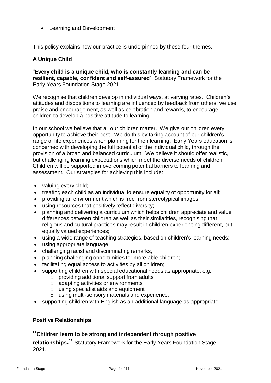• Learning and Development

This policy explains how our practice is underpinned by these four themes.

## **A Unique Child**

"**Every child is a unique child, who is constantly learning and can be resilient, capable, confident and self-assured**" Statutory Framework for the Early Years Foundation Stage 2021

We recognise that children develop in individual ways, at varying rates. Children's attitudes and dispositions to learning are influenced by feedback from others; we use praise and encouragement, as well as celebration and rewards, to encourage children to develop a positive attitude to learning.

In our school we believe that all our children matter. We give our children every opportunity to achieve their best. We do this by taking account of our children's range of life experiences when planning for their learning. Early Years education is concerned with developing the full potential of the individual child, through the provision of a broad and balanced curriculum. We believe it should offer realistic, but challenging learning expectations which meet the diverse needs of children. Children will be supported in overcoming potential barriers to learning and assessment. Our strategies for achieving this include:

- valuing every child;
- treating each child as an individual to ensure equality of opportunity for all;
- providing an environment which is free from stereotypical images;
- using resources that positively reflect diversity;
- planning and delivering a curriculum which helps children appreciate and value differences between children as well as their similarities, recognising that religious and cultural practices may result in children experiencing different, but equally valued experiences;
- using a wide range of teaching strategies, based on children's learning needs;
- using appropriate language;
- challenging racist and discriminating remarks;
- planning challenging opportunities for more able children;
- facilitating equal access to activities by all children;
- supporting children with special educational needs as appropriate, e.g.
	- o providing additional support from adults
		- o adapting activities or environments
		- o using specialist aids and equipment
		- o using multi-sensory materials and experience;
- supporting children with English as an additional language as appropriate.

## **Positive Relationships**

## **"Children learn to be strong and independent through positive**

**relationships."** Statutory Framework for the Early Years Foundation Stage 2021.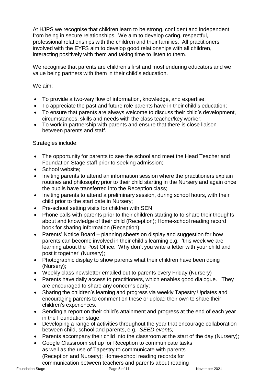At HJPS we recognise that children learn to be strong, confident and independent from being in secure relationships. We aim to develop caring, respectful, professional relationships with the children and their families. All practitioners involved with the EYFS aim to develop good relationships with all children, interacting positively with them and taking time to listen to them.

We recognise that parents are children's first and most enduring educators and we value being partners with them in their child's education.

We aim:

- To provide a two-way flow of information, knowledge, and expertise;
- To appreciate the past and future role parents have in their child's education;
- To ensure that parents are always welcome to discuss their child's development, circumstances, skills and needs with the class teacher/key worker;
- To work in partnership with parents and ensure that there is close liaison between parents and staff.

Strategies include:

- The opportunity for parents to see the school and meet the Head Teacher and Foundation Stage staff prior to seeking admission;
- School website:
- Inviting parents to attend an information session where the practitioners explain routines and philosophy prior to their child starting in the Nursery and again once the pupils have transferred into the Reception class;
- Inviting parents to attend a preliminary session, during school hours, with their child prior to the start date in Nursery;
- Pre-school setting visits for children with SEN
- Phone calls with parents prior to their children starting to to share their thoughts about and knowledge of their child (Reception); Home-school reading record book for sharing information (Reception);
- Parents' Notice Board planning sheets on display and suggestion for how parents can become involved in their child's learning e.g. 'this week we are learning about the Post Office. Why don't you write a letter with your child and post it together' (Nursery);
- Photographic display to show parents what their children have been doing (Nursery);
- Weekly class newsletter emailed out to parents every Friday (Nursery)
- Parents have daily access to practitioners, which enables good dialogue. They are encouraged to share any concerns early;
- Sharing the children's learning and progress via weekly Tapestry Updates and encouraging parents to comment on these or upload their own to share their children's experiences.
- Sending a report on their child's attainment and progress at the end of each year in the Foundation stage;
- Developing a range of activities throughout the year that encourage collaboration between child, school and parents, e.g. *SEED events;*
- Parents accompany their child into the classroom at the start of the day (Nursery);
- Google Classroom set up for Reception to communicate tasks as well as the use of Tapestry to communicate with parents (Reception and Nursery); Home-school reading records for communication between teachers and parents about reading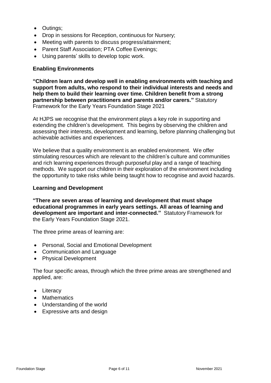- Outings;
- Drop in sessions for Reception, continuous for Nursery;
- Meeting with parents to discuss progress/attainment;
- Parent Staff Association; PTA Coffee Evenings;
- Using parents' skills to develop topic work.

#### **Enabling Environments**

**"Children learn and develop well in enabling environments with teaching and support from adults, who respond to their individual interests and needs and help them to build their learning over time. Children benefit from a strong partnership between practitioners and parents and/or carers."** Statutory Framework for the Early Years Foundation Stage 2021

At HJPS we recognise that the environment plays a key role in supporting and extending the children's development. This begins by observing the children and assessing their interests, development and learning, before planning challenging but achievable activities and experiences.

We believe that a quality environment is an enabled environment. We offer stimulating resources which are relevant to the children's culture and communities and rich learning experiences through purposeful play and a range of teaching methods. We support our children in their exploration of the environment including the opportunity to take risks while being taught how to recognise and avoid hazards.

#### **Learning and Development**

**"There are seven areas of learning and development that must shape educational programmes in early years settings. All areas of learning and development are important and inter-connected."** Statutory Framework for the Early Years Foundation Stage 2021.

The three prime areas of learning are:

- Personal, Social and Emotional Development
- Communication and Language
- Physical Development

The four specific areas, through which the three prime areas are strengthened and applied, are:

- Literacy
- Mathematics
- Understanding of the world
- Expressive arts and design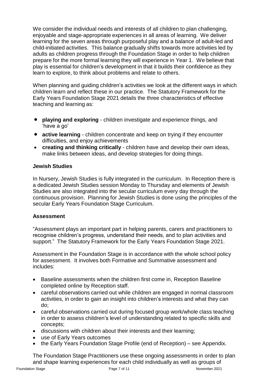We consider the individual needs and interests of all children to plan challenging, enjoyable and stage-appropriate experiences in all areas of learning. We deliver learning for the seven areas through purposeful play and a balance of adult-led and child-initiated activities. This balance gradually shifts towards more activities led by adults as children progress through the Foundation Stage in order to help children prepare for the more formal learning they will experience in Year 1. We believe that play is essential for children's development in that it builds their confidence as they learn to explore, to think about problems and relate to others.

When planning and guiding children's activities we look at the different ways in which children learn and reflect these in our practice. The Statutory Framework for the Early Years Foundation Stage 2021 details the three characteristics of effective teaching and learning as:

- **playing and exploring** children investigate and experience things, and 'have a go'
- **active learning** children concentrate and keep on trying if they encounter difficulties, and enjoy achievements
- **creating and thinking critically** children have and develop their own ideas, make links between ideas, and develop strategies for doing things.

#### **Jewish Studies**

In Nursery, Jewish Studies is fully integrated in the curriculum. In Reception there is a dedicated Jewish Studies session Monday to Thursday and elements of Jewish Studies are also integrated into the secular curriculum every day through the continuous provision. Planning for Jewish Studies is done using the principles of the secular Early Years Foundation Stage Curriculum.

#### **Assessment**

"Assessment plays an important part in helping parents, carers and practitioners to recognise children's progress, understand their needs, and to plan activities and support." The Statutory Framework for the Early Years Foundation Stage 2021.

Assessment in the Foundation Stage is in accordance with the whole school policy for assessment. It involves both Formative and Summative assessment and includes:

- Baseline assessments when the children first come in, Reception Baseline completed online by Reception staff.
- careful observations carried out while children are engaged in normal classroom activities, in order to gain an insight into children's interests and what they can do;
- careful observations carried out during focused group work/whole class teaching in order to assess children's level of understanding related to specific skills and concepts;
- discussions with children about their interests and their learning;
- use of Early Years outcomes
- the Early Years Foundation Stage Profile (end of Reception) see Appendix.

The Foundation Stage Practitioners use these ongoing assessments in order to plan and shape learning experiences for each child individually as well as groups of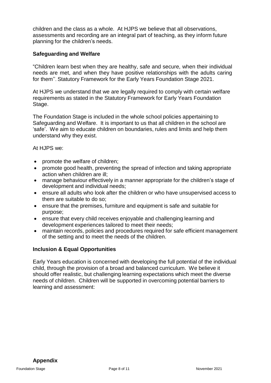children and the class as a whole. At HJPS we believe that all observations, assessments and recording are an integral part of teaching, as they inform future planning for the children's needs.

## **Safeguarding and Welfare**

"Children learn best when they are healthy, safe and secure, when their individual needs are met, and when they have positive relationships with the adults caring for them''. Statutory Framework for the Early Years Foundation Stage 2021.

At HJPS we understand that we are legally required to comply with certain welfare requirements as stated in the Statutory Framework for Early Years Foundation Stage.

The Foundation Stage is included in the whole school policies appertaining to Safeguarding and Welfare. It is important to us that all children in the school are 'safe'. We aim to educate children on boundaries, rules and limits and help them understand why they exist.

At HJPS we:

- promote the welfare of children;
- promote good health, preventing the spread of infection and taking appropriate action when children are ill;
- manage behaviour effectively in a manner appropriate for the children's stage of development and individual needs;
- ensure all adults who look after the children or who have unsupervised access to them are suitable to do so;
- ensure that the premises, furniture and equipment is safe and suitable for purpose;
- ensure that every child receives enjoyable and challenging learning and development experiences tailored to meet their needs;
- maintain records, policies and procedures required for safe efficient management of the setting and to meet the needs of the children.

#### **Inclusion & Equal Opportunities**

Early Years education is concerned with developing the full potential of the individual child, through the provision of a broad and balanced curriculum. We believe it should offer realistic, but challenging learning expectations which meet the diverse needs of children. Children will be supported in overcoming potential barriers to learning and assessment: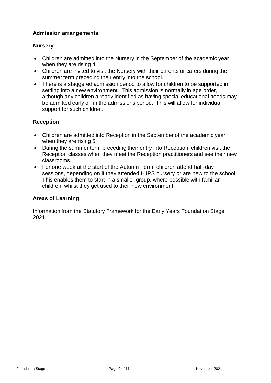## **Admission arrangements**

### **Nursery**

- Children are admitted into the Nursery in the September of the academic year when they are rising 4.
- Children are invited to visit the Nursery with their parents or carers during the summer term preceding their entry into the school.
- There is a staggered admission period to allow for children to be supported in settling into a new environment. This admission is normally in age order, although any children already identified as having special educational needs may be admitted early on in the admissions period. This will allow for individual support for such children.

## **Reception**

- Children are admitted into Reception in the September of the academic year when they are rising 5.
- During the summer term preceding their entry into Reception, children visit the Reception classes when they meet the Reception practitioners and see their new classrooms.
- For one week at the start of the Autumn Term, children attend half-day sessions, depending on if they attended HJPS nursery or are new to the school. This enables them to start in a smaller group, where possible with familiar children, whilst they get used to their new environment.

#### **Areas of Learning**

Information from the Statutory Framework for the Early Years Foundation Stage 2021.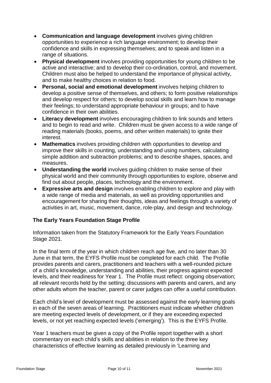- **Communication and language development** involves giving children opportunities to experience a rich language environment; to develop their confidence and skills in expressing themselves; and to speak and listen in a range of situations.
- **Physical development** involves providing opportunities for young children to be active and interactive; and to develop their co-ordination, control, and movement. Children must also be helped to understand the importance of physical activity, and to make healthy choices in relation to food.
- **Personal, social and emotional development** involves helping children to develop a positive sense of themselves, and others; to form positive relationships and develop respect for others; to develop social skills and learn how to manage their feelings; to understand appropriate behaviour in groups; and to have confidence in their own abilities.
- **Literacy development** involves encouraging children to link sounds and letters and to begin to read and write. Children must be given access to a wide range of reading materials (books, poems, and other written materials) to ignite their interest.
- **Mathematics** involves providing children with opportunities to develop and improve their skills in counting, understanding and using numbers, calculating simple addition and subtraction problems; and to describe shapes, spaces, and measures.
- **Understanding the world** involves guiding children to make sense of their physical world and their community through opportunities to explore, observe and find out about people, places, technology and the environment.
- **Expressive arts and design** involves enabling children to explore and play with a wide range of media and materials, as well as providing opportunities and encouragement for sharing their thoughts, ideas and feelings through a variety of activities in art, music, movement, dance, role-play, and design and technology.

## **The Early Years Foundation Stage Profile**

Information taken from the Statutory Framework for the Early Years Foundation Stage 2021.

In the final term of the year in which children reach age five, and no later than 30 June in that term, the EYFS Profile must be completed for each child. The Profile provides parents and carers, practitioners and teachers with a well-rounded picture of a child's knowledge, understanding and abilities, their progress against expected levels, and their readiness for Year 1. The Profile must reflect: ongoing observation; all relevant records held by the setting; discussions with parents and carers, and any other adults whom the teacher, parent or carer judges can offer a useful contribution.

Each child's level of development must be assessed against the early learning goals in each of the seven areas of learning. Practitioners must indicate whether children are meeting expected levels of development, or if they are exceeding expected levels, or not yet reaching expected levels ('emerging'). This is the EYFS Profile.

Year 1 teachers must be given a copy of the Profile report together with a short commentary on each child's skills and abilities in relation to the three key characteristics of effective learning as detailed previously in 'Learning and